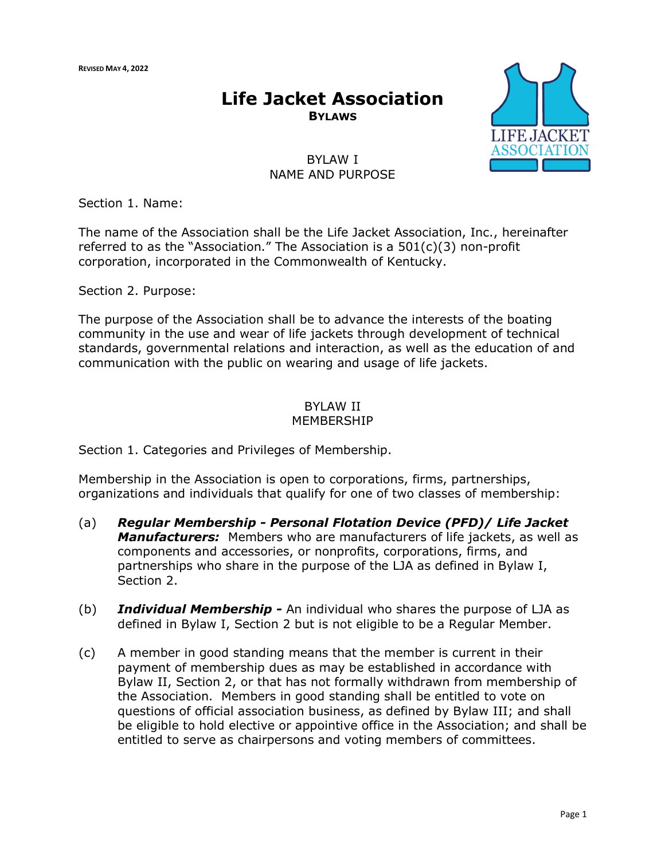# **Life Jacket Association BYLAWS**



### BYLAW I NAME AND PURPOSE

Section 1. Name:

The name of the Association shall be the Life Jacket Association, Inc., hereinafter referred to as the "Association." The Association is a  $501(c)(3)$  non-profit corporation, incorporated in the Commonwealth of Kentucky.

Section 2. Purpose:

The purpose of the Association shall be to advance the interests of the boating community in the use and wear of life jackets through development of technical standards, governmental relations and interaction, as well as the education of and communication with the public on wearing and usage of life jackets.

#### BYLAW II MEMBERSHIP

Section 1. Categories and Privileges of Membership.

Membership in the Association is open to corporations, firms, partnerships, organizations and individuals that qualify for one of two classes of membership:

- (a) *Regular Membership - Personal Flotation Device (PFD)/ Life Jacket Manufacturers:* Members who are manufacturers of life jackets, as well as components and accessories, or nonprofits, corporations, firms, and partnerships who share in the purpose of the LJA as defined in Bylaw I, Section 2.
- (b) *Individual Membership -* An individual who shares the purpose of LJA as defined in Bylaw I, Section 2 but is not eligible to be a Regular Member.
- (c) A member in good standing means that the member is current in their payment of membership dues as may be established in accordance with Bylaw II, Section 2, or that has not formally withdrawn from membership of the Association. Members in good standing shall be entitled to vote on questions of official association business, as defined by Bylaw III; and shall be eligible to hold elective or appointive office in the Association; and shall be entitled to serve as chairpersons and voting members of committees.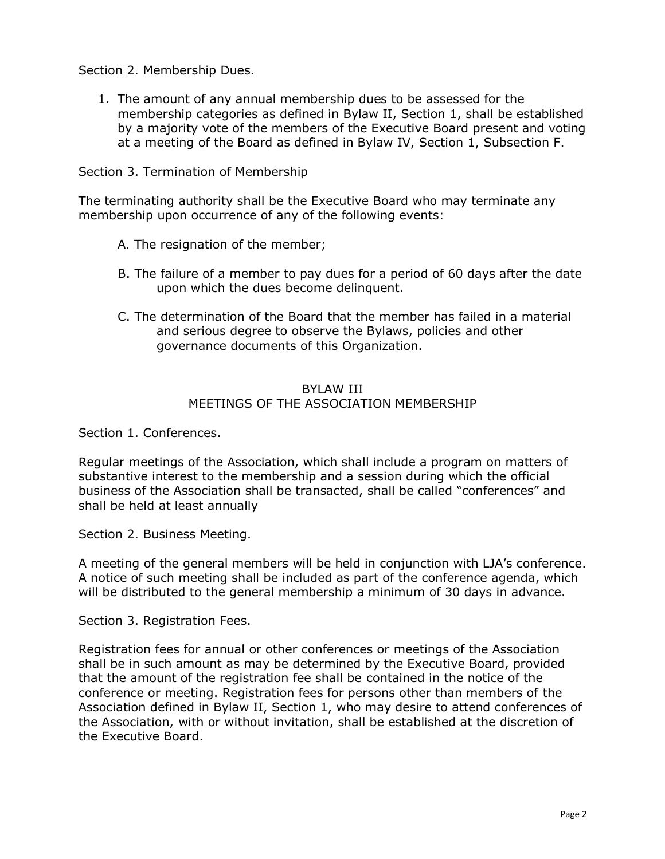Section 2. Membership Dues.

1. The amount of any annual membership dues to be assessed for the membership categories as defined in Bylaw II, Section 1, shall be established by a majority vote of the members of the Executive Board present and voting at a meeting of the Board as defined in Bylaw IV, Section 1, Subsection F.

Section 3. Termination of Membership

The terminating authority shall be the Executive Board who may terminate any membership upon occurrence of any of the following events:

- A. The resignation of the member;
- B. The failure of a member to pay dues for a period of 60 days after the date upon which the dues become delinquent.
- C. The determination of the Board that the member has failed in a material and serious degree to observe the Bylaws, policies and other governance documents of this Organization.

#### BYLAW III

## MEETINGS OF THE ASSOCIATION MEMBERSHIP

Section 1. Conferences.

Regular meetings of the Association, which shall include a program on matters of substantive interest to the membership and a session during which the official business of the Association shall be transacted, shall be called "conferences" and shall be held at least annually

Section 2. Business Meeting.

A meeting of the general members will be held in conjunction with LJA's conference. A notice of such meeting shall be included as part of the conference agenda, which will be distributed to the general membership a minimum of 30 days in advance.

Section 3. Registration Fees.

Registration fees for annual or other conferences or meetings of the Association shall be in such amount as may be determined by the Executive Board, provided that the amount of the registration fee shall be contained in the notice of the conference or meeting. Registration fees for persons other than members of the Association defined in Bylaw II, Section 1, who may desire to attend conferences of the Association, with or without invitation, shall be established at the discretion of the Executive Board.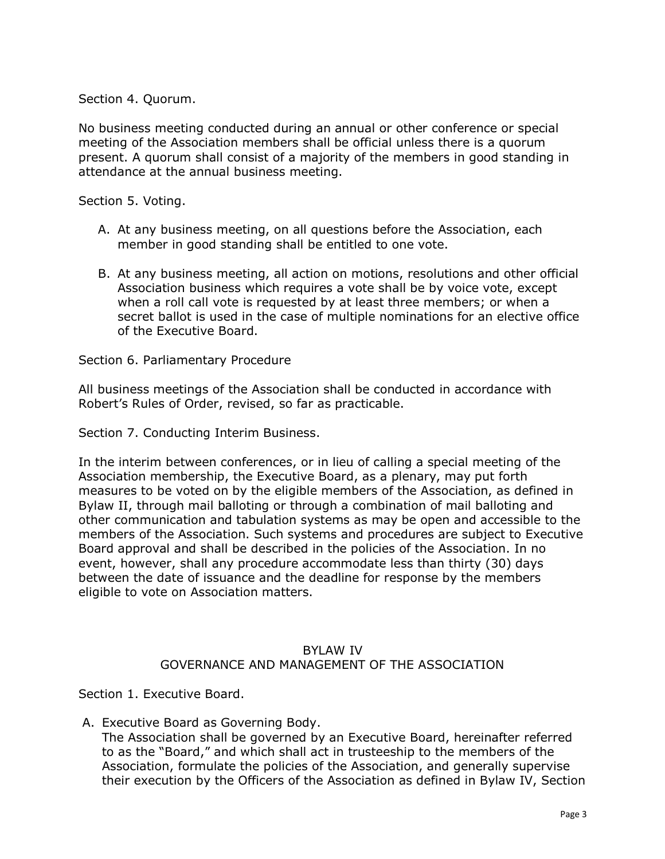Section 4. Quorum.

No business meeting conducted during an annual or other conference or special meeting of the Association members shall be official unless there is a quorum present. A quorum shall consist of a majority of the members in good standing in attendance at the annual business meeting.

Section 5. Voting.

- A. At any business meeting, on all questions before the Association, each member in good standing shall be entitled to one vote.
- B. At any business meeting, all action on motions, resolutions and other official Association business which requires a vote shall be by voice vote, except when a roll call vote is requested by at least three members; or when a secret ballot is used in the case of multiple nominations for an elective office of the Executive Board.

Section 6. Parliamentary Procedure

All business meetings of the Association shall be conducted in accordance with Robert's Rules of Order, revised, so far as practicable.

Section 7. Conducting Interim Business.

In the interim between conferences, or in lieu of calling a special meeting of the Association membership, the Executive Board, as a plenary, may put forth measures to be voted on by the eligible members of the Association, as defined in Bylaw II, through mail balloting or through a combination of mail balloting and other communication and tabulation systems as may be open and accessible to the members of the Association. Such systems and procedures are subject to Executive Board approval and shall be described in the policies of the Association. In no event, however, shall any procedure accommodate less than thirty (30) days between the date of issuance and the deadline for response by the members eligible to vote on Association matters.

### BYLAW IV GOVERNANCE AND MANAGEMENT OF THE ASSOCIATION

Section 1. Executive Board.

A. Executive Board as Governing Body.

The Association shall be governed by an Executive Board, hereinafter referred to as the "Board," and which shall act in trusteeship to the members of the Association, formulate the policies of the Association, and generally supervise their execution by the Officers of the Association as defined in Bylaw IV, Section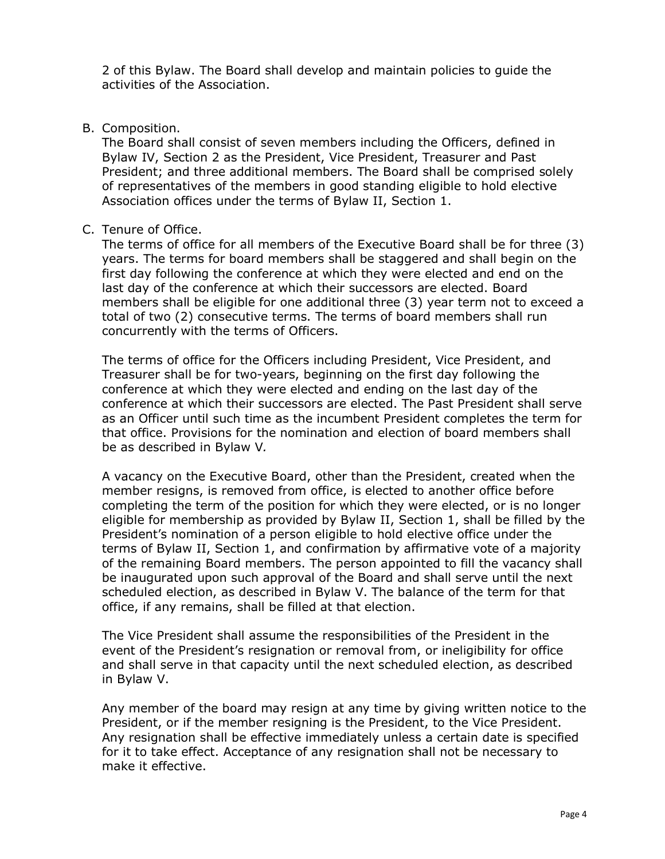2 of this Bylaw. The Board shall develop and maintain policies to guide the activities of the Association.

B. Composition.

The Board shall consist of seven members including the Officers, defined in Bylaw IV, Section 2 as the President, Vice President, Treasurer and Past President; and three additional members. The Board shall be comprised solely of representatives of the members in good standing eligible to hold elective Association offices under the terms of Bylaw II, Section 1.

C. Tenure of Office.

The terms of office for all members of the Executive Board shall be for three (3) years. The terms for board members shall be staggered and shall begin on the first day following the conference at which they were elected and end on the last day of the conference at which their successors are elected. Board members shall be eligible for one additional three (3) year term not to exceed a total of two (2) consecutive terms. The terms of board members shall run concurrently with the terms of Officers.

The terms of office for the Officers including President, Vice President, and Treasurer shall be for two-years, beginning on the first day following the conference at which they were elected and ending on the last day of the conference at which their successors are elected. The Past President shall serve as an Officer until such time as the incumbent President completes the term for that office. Provisions for the nomination and election of board members shall be as described in Bylaw V*.*

A vacancy on the Executive Board, other than the President, created when the member resigns, is removed from office, is elected to another office before completing the term of the position for which they were elected, or is no longer eligible for membership as provided by Bylaw II, Section 1, shall be filled by the President's nomination of a person eligible to hold elective office under the terms of Bylaw II, Section 1, and confirmation by affirmative vote of a majority of the remaining Board members. The person appointed to fill the vacancy shall be inaugurated upon such approval of the Board and shall serve until the next scheduled election, as described in Bylaw V. The balance of the term for that office, if any remains, shall be filled at that election.

The Vice President shall assume the responsibilities of the President in the event of the President's resignation or removal from, or ineligibility for office and shall serve in that capacity until the next scheduled election, as described in Bylaw V.

Any member of the board may resign at any time by giving written notice to the President, or if the member resigning is the President, to the Vice President. Any resignation shall be effective immediately unless a certain date is specified for it to take effect. Acceptance of any resignation shall not be necessary to make it effective.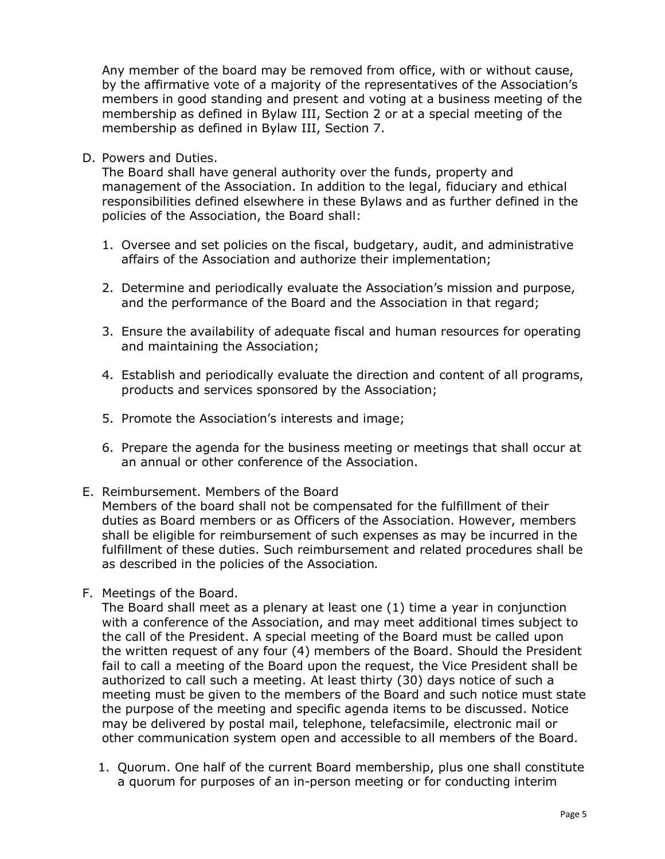Any member of the board may be removed from office, with or without cause, by the affirmative vote of a majority of the representatives of the Association's members in good standing and present and voting at a business meeting of the membership as defined in Bylaw III, Section 2 or at a special meeting of the membership as defined in Bylaw III, Section 7.

D. Powers and Duties.

The Board shall have general authority over the funds, property and management of the Association. In addition to the legal, fiduciary and ethical responsibilities defined elsewhere in these Bylaws and as further defined in the policies of the Association, the Board shall:

- 1. Oversee and set policies on the fiscal, budgetary, audit, and administrative affairs of the Association and authorize their implementation;
- 2. Determine and periodically evaluate the Association's mission and purpose, and the performance of the Board and the Association in that regard;
- 3. Ensure the availability of adequate fiscal and human resources for operating and maintaining the Association;
- 4. Establish and periodically evaluate the direction and content of all programs, products and services sponsored by the Association;
- 5. Promote the Association's interests and image;
- 6. Prepare the agenda for the business meeting or meetings that shall occur at an annual or other conference of the Association.
- E. Reimbursement. Members of the Board

Members of the board shall not be compensated for the fulfillment of their duties as Board members or as Officers of the Association. However, members shall be eligible for reimbursement of such expenses as may be incurred in the fulfillment of these duties. Such reimbursement and related procedures shall be as described in the policies of the Association*.*

F. Meetings of the Board.

The Board shall meet as a plenary at least one (1) time a year in conjunction with a conference of the Association, and may meet additional times subject to the call of the President. A special meeting of the Board must be called upon the written request of any four (4) members of the Board. Should the President fail to call a meeting of the Board upon the request, the Vice President shall be authorized to call such a meeting. At least thirty (30) days notice of such a meeting must be given to the members of the Board and such notice must state the purpose of the meeting and specific agenda items to be discussed. Notice may be delivered by postal mail, telephone, telefacsimile, electronic mail or other communication system open and accessible to all members of the Board.

1. Quorum. One half of the current Board membership, plus one shall constitute a quorum for purposes of an in-person meeting or for conducting interim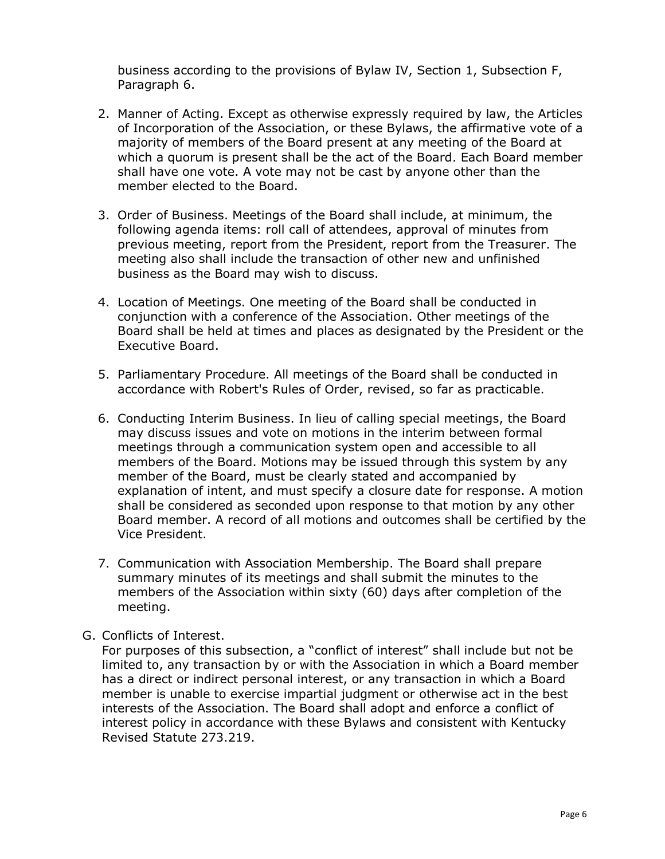business according to the provisions of Bylaw IV, Section 1, Subsection F, Paragraph 6.

- 2. Manner of Acting. Except as otherwise expressly required by law, the Articles of Incorporation of the Association, or these Bylaws, the affirmative vote of a majority of members of the Board present at any meeting of the Board at which a quorum is present shall be the act of the Board. Each Board member shall have one vote. A vote may not be cast by anyone other than the member elected to the Board.
- 3. Order of Business. Meetings of the Board shall include, at minimum, the following agenda items: roll call of attendees, approval of minutes from previous meeting, report from the President, report from the Treasurer. The meeting also shall include the transaction of other new and unfinished business as the Board may wish to discuss.
- 4. Location of Meetings. One meeting of the Board shall be conducted in conjunction with a conference of the Association. Other meetings of the Board shall be held at times and places as designated by the President or the Executive Board.
- 5. Parliamentary Procedure. All meetings of the Board shall be conducted in accordance with Robert's Rules of Order, revised, so far as practicable.
- 6. Conducting Interim Business. In lieu of calling special meetings, the Board may discuss issues and vote on motions in the interim between formal meetings through a communication system open and accessible to all members of the Board. Motions may be issued through this system by any member of the Board, must be clearly stated and accompanied by explanation of intent, and must specify a closure date for response. A motion shall be considered as seconded upon response to that motion by any other Board member. A record of all motions and outcomes shall be certified by the Vice President.
- 7. Communication with Association Membership. The Board shall prepare summary minutes of its meetings and shall submit the minutes to the members of the Association within sixty (60) days after completion of the meeting.
- G. Conflicts of Interest.

For purposes of this subsection, a "conflict of interest" shall include but not be limited to, any transaction by or with the Association in which a Board member has a direct or indirect personal interest, or any transaction in which a Board member is unable to exercise impartial judgment or otherwise act in the best interests of the Association. The Board shall adopt and enforce a conflict of interest policy in accordance with these Bylaws and consistent with Kentucky Revised Statute 273.219.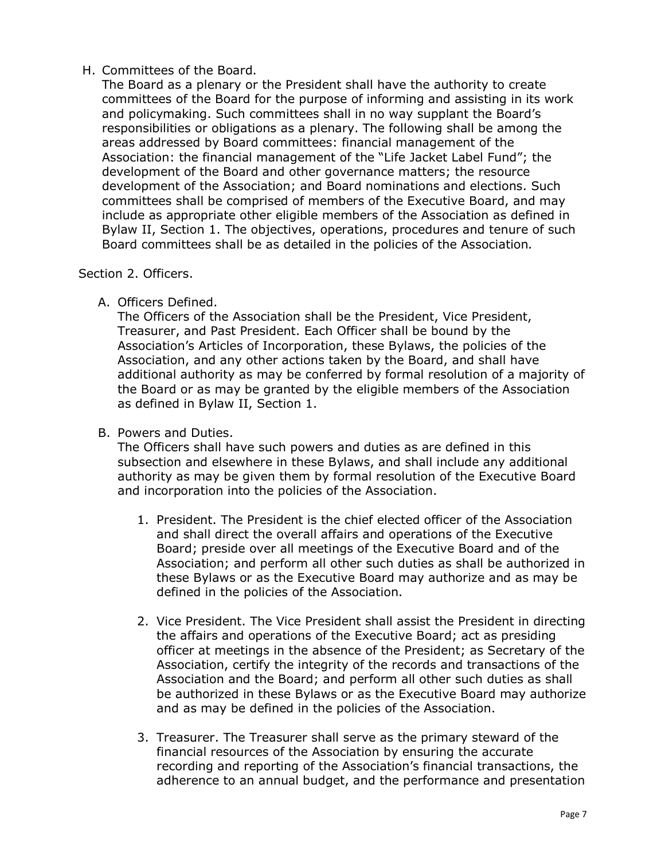### H. Committees of the Board.

The Board as a plenary or the President shall have the authority to create committees of the Board for the purpose of informing and assisting in its work and policymaking. Such committees shall in no way supplant the Board's responsibilities or obligations as a plenary. The following shall be among the areas addressed by Board committees: financial management of the Association: the financial management of the "Life Jacket Label Fund"; the development of the Board and other governance matters; the resource development of the Association; and Board nominations and elections. Such committees shall be comprised of members of the Executive Board, and may include as appropriate other eligible members of the Association as defined in Bylaw II, Section 1. The objectives, operations, procedures and tenure of such Board committees shall be as detailed in the policies of the Association*.*

#### Section 2. Officers.

A. Officers Defined.

The Officers of the Association shall be the President, Vice President, Treasurer, and Past President. Each Officer shall be bound by the Association's Articles of Incorporation, these Bylaws, the policies of the Association, and any other actions taken by the Board, and shall have additional authority as may be conferred by formal resolution of a majority of the Board or as may be granted by the eligible members of the Association as defined in Bylaw II, Section 1.

B. Powers and Duties.

The Officers shall have such powers and duties as are defined in this subsection and elsewhere in these Bylaws, and shall include any additional authority as may be given them by formal resolution of the Executive Board and incorporation into the policies of the Association.

- 1. President. The President is the chief elected officer of the Association and shall direct the overall affairs and operations of the Executive Board; preside over all meetings of the Executive Board and of the Association; and perform all other such duties as shall be authorized in these Bylaws or as the Executive Board may authorize and as may be defined in the policies of the Association.
- 2. Vice President. The Vice President shall assist the President in directing the affairs and operations of the Executive Board; act as presiding officer at meetings in the absence of the President; as Secretary of the Association, certify the integrity of the records and transactions of the Association and the Board; and perform all other such duties as shall be authorized in these Bylaws or as the Executive Board may authorize and as may be defined in the policies of the Association.
- 3. Treasurer. The Treasurer shall serve as the primary steward of the financial resources of the Association by ensuring the accurate recording and reporting of the Association's financial transactions, the adherence to an annual budget, and the performance and presentation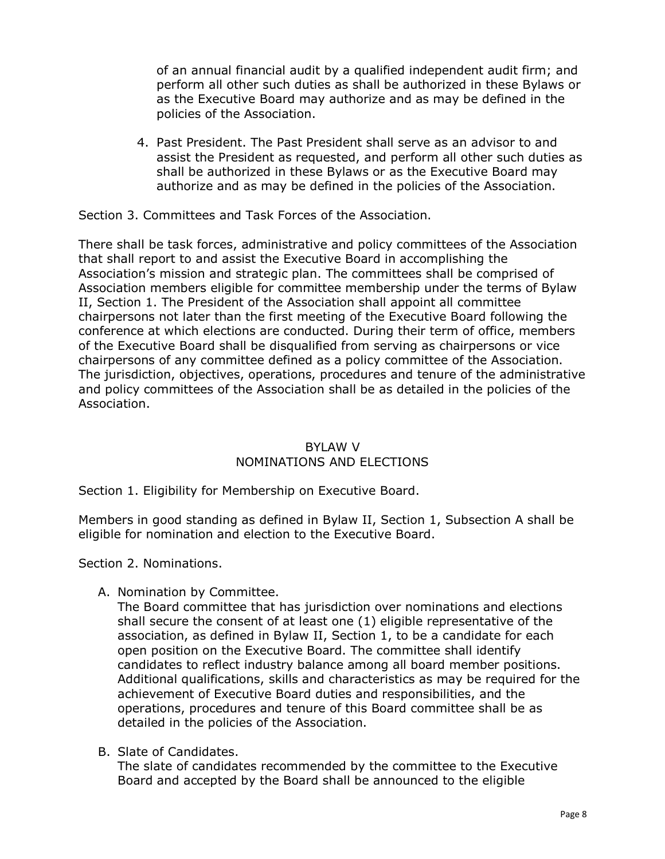of an annual financial audit by a qualified independent audit firm; and perform all other such duties as shall be authorized in these Bylaws or as the Executive Board may authorize and as may be defined in the policies of the Association.

4. Past President. The Past President shall serve as an advisor to and assist the President as requested, and perform all other such duties as shall be authorized in these Bylaws or as the Executive Board may authorize and as may be defined in the policies of the Association.

Section 3. Committees and Task Forces of the Association.

There shall be task forces, administrative and policy committees of the Association that shall report to and assist the Executive Board in accomplishing the Association's mission and strategic plan. The committees shall be comprised of Association members eligible for committee membership under the terms of Bylaw II, Section 1. The President of the Association shall appoint all committee chairpersons not later than the first meeting of the Executive Board following the conference at which elections are conducted. During their term of office, members of the Executive Board shall be disqualified from serving as chairpersons or vice chairpersons of any committee defined as a policy committee of the Association. The jurisdiction, objectives, operations, procedures and tenure of the administrative and policy committees of the Association shall be as detailed in the policies of the Association.

### BYLAW V NOMINATIONS AND ELECTIONS

Section 1. Eligibility for Membership on Executive Board.

Members in good standing as defined in Bylaw II, Section 1, Subsection A shall be eligible for nomination and election to the Executive Board.

Section 2. Nominations.

A. Nomination by Committee.

The Board committee that has jurisdiction over nominations and elections shall secure the consent of at least one (1) eligible representative of the association, as defined in Bylaw II, Section 1, to be a candidate for each open position on the Executive Board. The committee shall identify candidates to reflect industry balance among all board member positions. Additional qualifications, skills and characteristics as may be required for the achievement of Executive Board duties and responsibilities, and the operations, procedures and tenure of this Board committee shall be as detailed in the policies of the Association.

B. Slate of Candidates.

The slate of candidates recommended by the committee to the Executive Board and accepted by the Board shall be announced to the eligible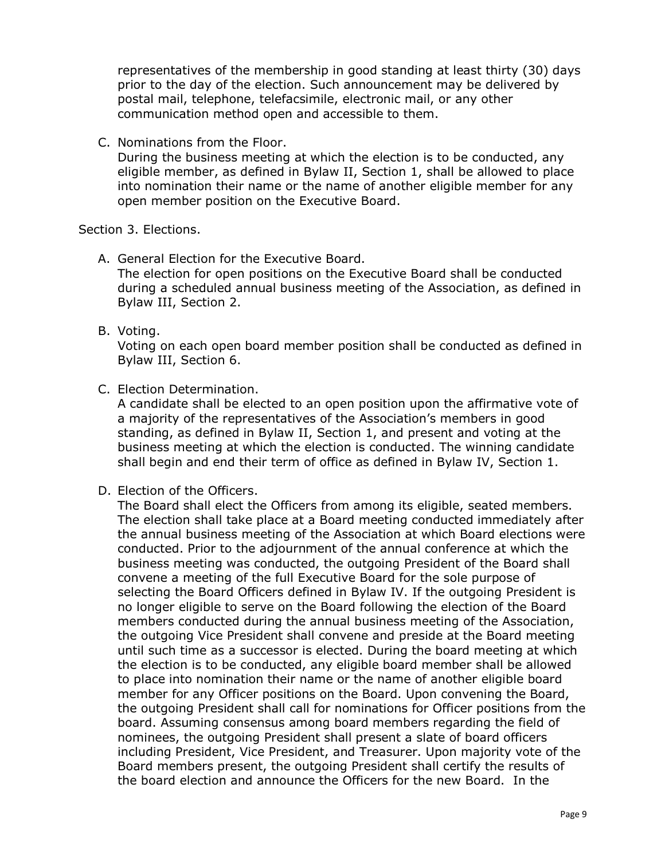representatives of the membership in good standing at least thirty (30) days prior to the day of the election. Such announcement may be delivered by postal mail, telephone, telefacsimile, electronic mail, or any other communication method open and accessible to them.

C. Nominations from the Floor.

During the business meeting at which the election is to be conducted, any eligible member, as defined in Bylaw II, Section 1, shall be allowed to place into nomination their name or the name of another eligible member for any open member position on the Executive Board.

Section 3. Elections.

A. General Election for the Executive Board.

The election for open positions on the Executive Board shall be conducted during a scheduled annual business meeting of the Association, as defined in Bylaw III, Section 2.

B. Voting.

Voting on each open board member position shall be conducted as defined in Bylaw III, Section 6.

C. Election Determination.

A candidate shall be elected to an open position upon the affirmative vote of a majority of the representatives of the Association's members in good standing, as defined in Bylaw II, Section 1, and present and voting at the business meeting at which the election is conducted. The winning candidate shall begin and end their term of office as defined in Bylaw IV, Section 1.

D. Election of the Officers.

The Board shall elect the Officers from among its eligible, seated members. The election shall take place at a Board meeting conducted immediately after the annual business meeting of the Association at which Board elections were conducted. Prior to the adjournment of the annual conference at which the business meeting was conducted, the outgoing President of the Board shall convene a meeting of the full Executive Board for the sole purpose of selecting the Board Officers defined in Bylaw IV. If the outgoing President is no longer eligible to serve on the Board following the election of the Board members conducted during the annual business meeting of the Association, the outgoing Vice President shall convene and preside at the Board meeting until such time as a successor is elected. During the board meeting at which the election is to be conducted, any eligible board member shall be allowed to place into nomination their name or the name of another eligible board member for any Officer positions on the Board. Upon convening the Board, the outgoing President shall call for nominations for Officer positions from the board. Assuming consensus among board members regarding the field of nominees, the outgoing President shall present a slate of board officers including President, Vice President, and Treasurer. Upon majority vote of the Board members present, the outgoing President shall certify the results of the board election and announce the Officers for the new Board. In the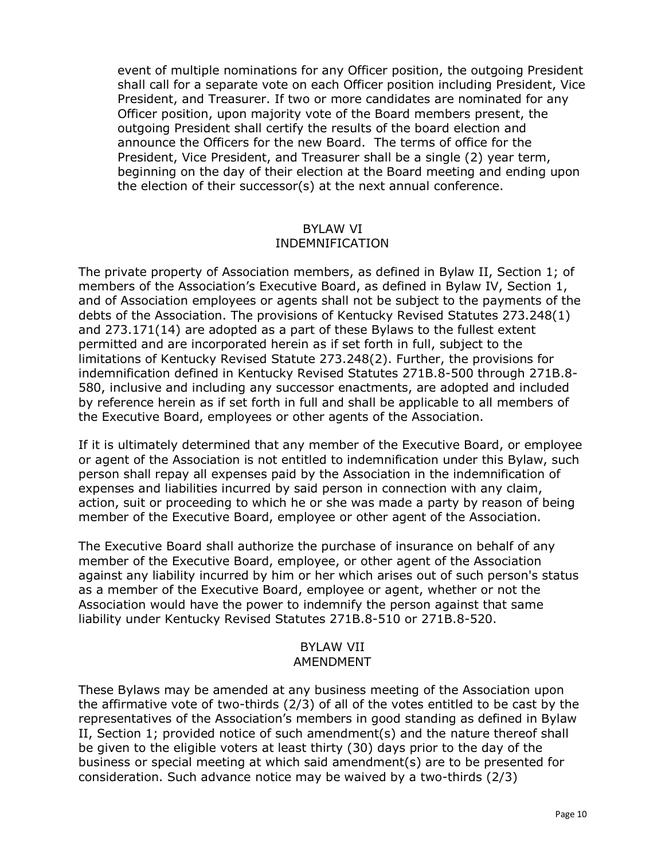event of multiple nominations for any Officer position, the outgoing President shall call for a separate vote on each Officer position including President, Vice President, and Treasurer. If two or more candidates are nominated for any Officer position, upon majority vote of the Board members present, the outgoing President shall certify the results of the board election and announce the Officers for the new Board. The terms of office for the President, Vice President, and Treasurer shall be a single (2) year term, beginning on the day of their election at the Board meeting and ending upon the election of their successor(s) at the next annual conference.

#### BYLAW VI INDEMNIFICATION

The private property of Association members, as defined in Bylaw II, Section 1; of members of the Association's Executive Board, as defined in Bylaw IV, Section 1, and of Association employees or agents shall not be subject to the payments of the debts of the Association. The provisions of Kentucky Revised Statutes 273.248(1) and 273.171(14) are adopted as a part of these Bylaws to the fullest extent permitted and are incorporated herein as if set forth in full, subject to the limitations of Kentucky Revised Statute 273.248(2). Further, the provisions for indemnification defined in Kentucky Revised Statutes 271B.8-500 through 271B.8- 580, inclusive and including any successor enactments, are adopted and included by reference herein as if set forth in full and shall be applicable to all members of the Executive Board, employees or other agents of the Association.

If it is ultimately determined that any member of the Executive Board, or employee or agent of the Association is not entitled to indemnification under this Bylaw, such person shall repay all expenses paid by the Association in the indemnification of expenses and liabilities incurred by said person in connection with any claim, action, suit or proceeding to which he or she was made a party by reason of being member of the Executive Board, employee or other agent of the Association.

The Executive Board shall authorize the purchase of insurance on behalf of any member of the Executive Board, employee, or other agent of the Association against any liability incurred by him or her which arises out of such person's status as a member of the Executive Board, employee or agent, whether or not the Association would have the power to indemnify the person against that same liability under Kentucky Revised Statutes 271B.8-510 or 271B.8-520.

### BYLAW VII AMENDMENT

These Bylaws may be amended at any business meeting of the Association upon the affirmative vote of two-thirds (2/3) of all of the votes entitled to be cast by the representatives of the Association's members in good standing as defined in Bylaw II, Section 1; provided notice of such amendment(s) and the nature thereof shall be given to the eligible voters at least thirty (30) days prior to the day of the business or special meeting at which said amendment(s) are to be presented for consideration. Such advance notice may be waived by a two-thirds (2/3)